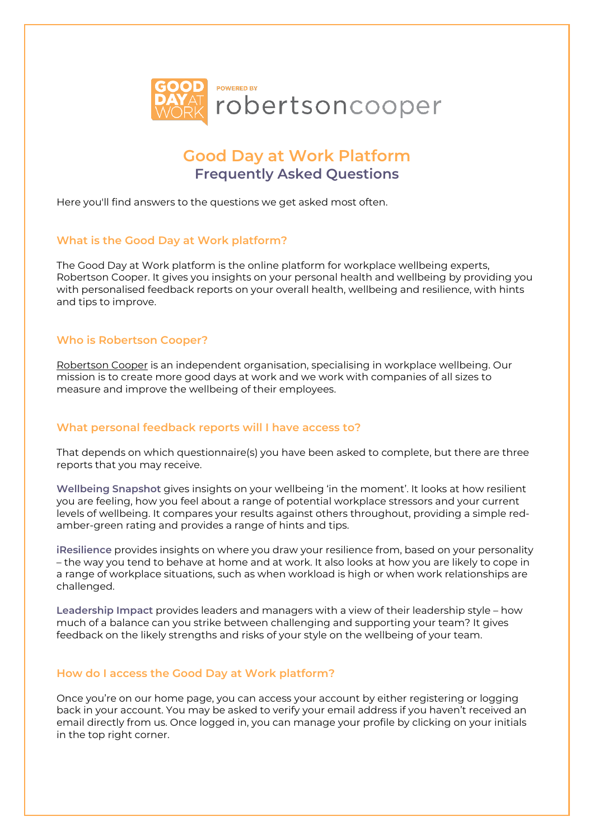

# **Good Day at Work Platform Frequently Asked Questions**

Here you'll find answers to the questions we get asked most often.

# **What is the Good Day at Work platform?**

The Good Day at Work platform is the online platform for workplace wellbeing experts, Robertson Cooper. It gives you insights on your personal health and wellbeing by providing you with personalised feedback reports on your overall health, wellbeing and resilience, with hints and tips to improve.

# **Who is Robertson Cooper?**

[Robertson Cooper](https://www.robertsoncooper.com/) is an independent organisation, specialising in workplace wellbeing. Our mission is to create more good days at work and we work with companies of all sizes to measure and improve the wellbeing of their employees.

## **What personal feedback reports will I have access to?**

That depends on which questionnaire(s) you have been asked to complete, but there are three reports that you may receive.

**Wellbeing Snapshot** gives insights on your wellbeing 'in the moment'. It looks at how resilient you are feeling, how you feel about a range of potential workplace stressors and your current levels of wellbeing. It compares your results against others throughout, providing a simple redamber-green rating and provides a range of hints and tips.

**iResilience** provides insights on where you draw your resilience from, based on your personality – the way you tend to behave at home and at work. It also looks at how you are likely to cope in a range of workplace situations, such as when workload is high or when work relationships are challenged.

**Leadership Impact** provides leaders and managers with a view of their leadership style – how much of a balance can you strike between challenging and supporting your team? It gives feedback on the likely strengths and risks of your style on the wellbeing of your team.

## **How do I access the Good Day at Work platform?**

Once you're on our home page, you can access your account by either registering or logging back in your account. You may be asked to verify your email address if you haven't received an email directly from us. Once logged in, you can manage your profile by clicking on your initials in the top right corner.